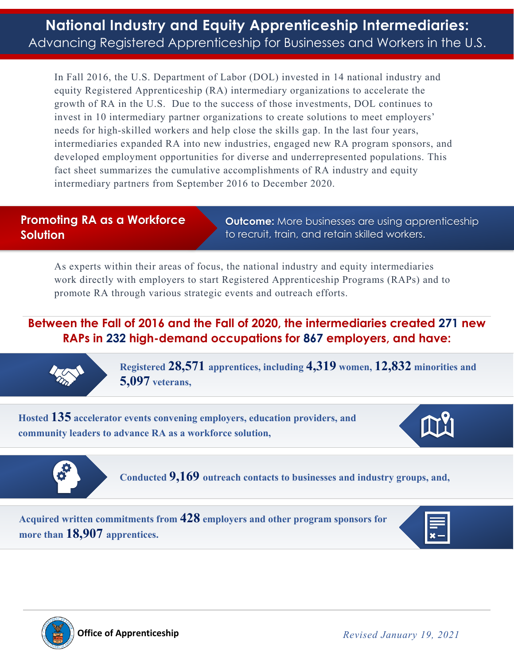In Fall 2016, the U.S. Department of Labor (DOL) invested in 14 national industry and equity Registered Apprenticeship (RA) intermediary organizations to accelerate the growth of RA in the U.S. Due to the success of those investments, DOL continues to invest in 10 intermediary partner organizations to create solutions to meet employers' needs for high-skilled workers and help close the skills gap. In the last four years, intermediaries expanded RA into new industries, engaged new RA program sponsors, and developed employment opportunities for diverse and underrepresented populations. This fact sheet summarizes the cumulative accomplishments of RA industry and equity intermediary partners from September 2016 to December 2020.

## **Promoting RA as a Workforce Solution**

**Outcome:** More businesses are using apprenticeship to recruit, train, and retain skilled workers.

As experts within their areas of focus, the national industry and equity intermediaries work directly with employers to start Registered Apprenticeship Programs (RAPs) and to promote RA through various strategic events and outreach efforts.

## **Between the Fall of 2016 and the Fall of 2020, the intermediaries created 271 new RAPs in 232 high-demand occupations for 867 employers, and have:**



**Registered 28,571 apprentices, including 4,319 women, 12,832 minorities and 5,097 veterans,** 

**Hosted 135 accelerator events convening employers, education providers, and community leaders to advance RA as a workforce solution,** 





**Conducted 9,169 outreach contacts to businesses and industry groups, and,** 

**Acquired written commitments from 428 employers and other program sponsors for more than 18,907 apprentices.**



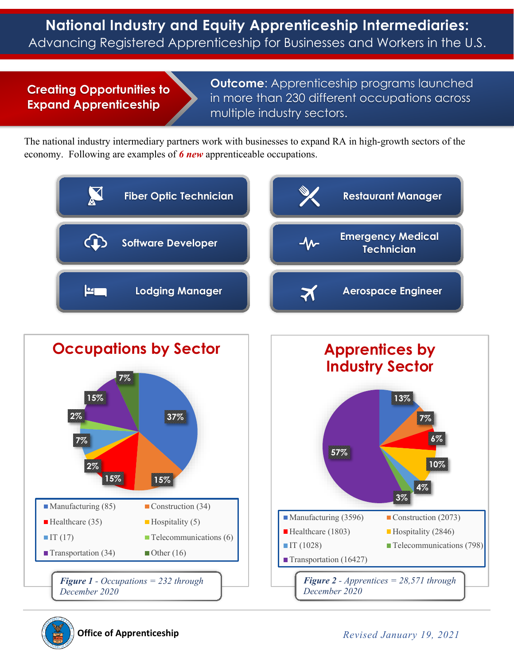## **Creating Opportunities to Expand Apprenticeship**

**Outcome**: Apprenticeship programs launched in more than 230 different occupations across multiple industry sectors.

The national industry intermediary partners work with businesses to expand RA in high-growth sectors of the economy. Following are examples of *6 new* apprenticeable occupations.